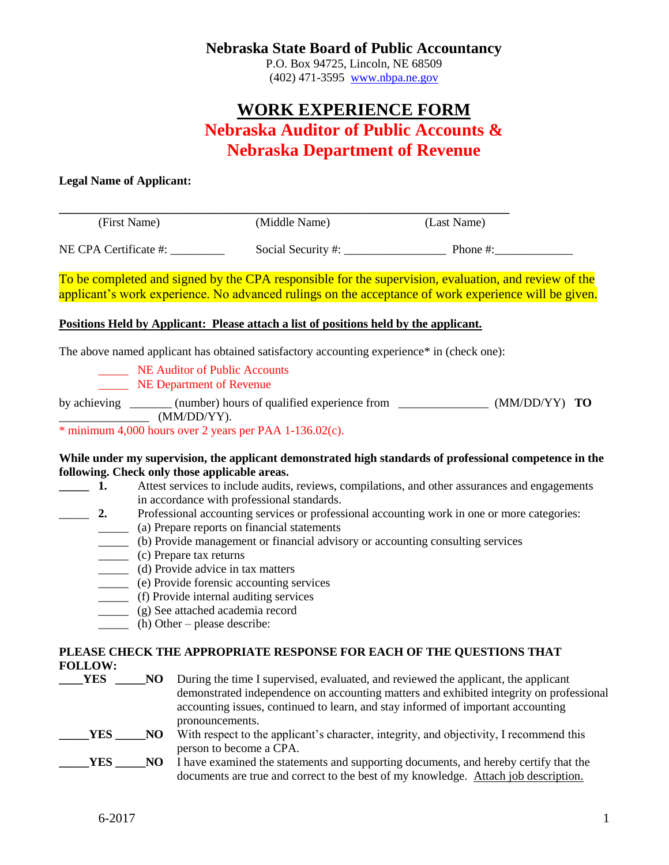# **Nebraska State Board of Public Accountancy**

P.O. Box 94725, Lincoln, NE 68509 (402) 471-3595 [www.nbpa.ne.gov](http://www.nbpa.ne.gov/)

# **WORK EXPERIENCE FORM Nebraska Auditor of Public Accounts & Nebraska Department of Revenue**

## **Legal Name of Applicant:**

(First Name) (Middle Name) (Last Name)

NE CPA Certificate #: \_\_\_\_\_\_\_\_\_\_\_\_\_\_\_\_\_\_\_\_ Social Security #: \_\_\_\_\_\_\_\_\_\_\_\_\_\_\_\_\_\_\_ Phone #:

To be completed and signed by the CPA responsible for the supervision, evaluation, and review of the applicant's work experience. No advanced rulings on the acceptance of work experience will be given.

## **Positions Held by Applicant: Please attach a list of positions held by the applicant.**

The above named applicant has obtained satisfactory accounting experience\* in (check one):

**\_\_\_\_\_\_\_\_\_\_\_\_\_\_\_\_\_\_\_\_\_\_\_\_\_\_\_\_\_\_\_\_\_\_\_\_\_\_\_\_\_\_\_\_\_\_\_\_\_\_\_\_\_\_\_\_\_\_\_\_\_\_\_\_\_\_\_\_\_\_\_\_\_\_\_**

**NE Auditor of Public Accounts** 

**NE Department of Revenue** 

by achieving \_\_\_\_\_\_\_ (number) hours of qualified experience from \_\_\_\_\_\_\_\_\_\_\_\_\_\_\_ (MM/DD/YY) **TO**  $(MM/DD/YY).$ 

\* minimum 4,000 hours over 2 years per PAA 1-136.02(c).

#### **While under my supervision, the applicant demonstrated high standards of professional competence in the following. Check only those applicable areas.**

- **1.** Attest services to include audits, reviews, compilations, and other assurances and engagements in accordance with professional standards.
- \_\_\_\_\_ **2.** Professional accounting services or professional accounting work in one or more categories:
	- \_\_\_\_\_ (a) Prepare reports on financial statements
	- \_\_\_\_\_ (b) Provide management or financial advisory or accounting consulting services
	- \_\_\_\_\_ (c) Prepare tax returns
	- \_\_\_\_\_ (d) Provide advice in tax matters
	- \_\_\_\_\_ (e) Provide forensic accounting services
	- \_\_\_\_\_ (f) Provide internal auditing services
	- \_\_\_\_\_ (g) See attached academia record
	- \_\_\_\_\_ (h) Other please describe:

# **PLEASE CHECK THE APPROPRIATE RESPONSE FOR EACH OF THE QUESTIONS THAT FOLLOW:**

- **THES \_\_\_\_NO** During the time I supervised, evaluated, and reviewed the applicant, the applicant demonstrated independence on accounting matters and exhibited integrity on professional accounting issues, continued to learn, and stay informed of important accounting pronouncements. **\_\_\_\_\_YES** \_\_\_\_\_**NO** With respect to the applicant's character, integrity, and objectivity, I recommend this person to become a CPA.
- **TES** NO I have examined the statements and supporting documents, and hereby certify that the documents are true and correct to the best of my knowledge. Attach job description.